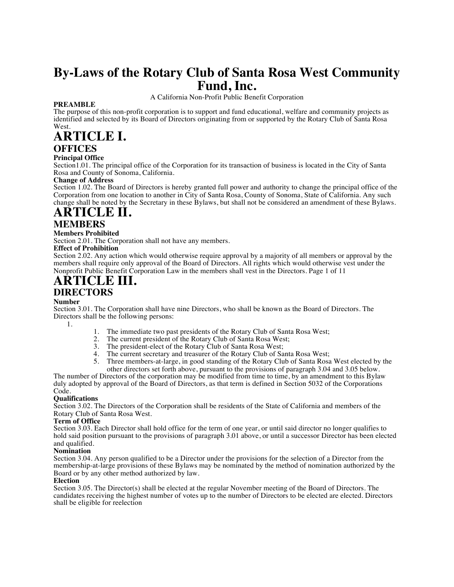# **By-Laws of the Rotary Club of Santa Rosa West Community Fund, Inc.**

A California Non-Profit Public Benefit Corporation

# **PREAMBLE**

The purpose of this non-profit corporation is to support and fund educational, welfare and community projects as identified and selected by its Board of Directors originating from or supported by the Rotary Club of Santa Rosa West.

# **ARTICLE I.**

# **OFFICES**

# **Principal Office**

Section1.01. The principal office of the Corporation for its transaction of business is located in the City of Santa Rosa and County of Sonoma, California.

# **Change of Address**

Section 1.02. The Board of Directors is hereby granted full power and authority to change the principal office of the Corporation from one location to another in City of Santa Rosa, County of Sonoma, State of California. Any such change shall be noted by the Secretary in these Bylaws, but shall not be considered an amendment of these Bylaws.

# **ARTICLE II. MEMBERS**

# **Members Prohibited**

Section 2.01. The Corporation shall not have any members.

# **Effect of Prohibition**

Section 2.02. Any action which would otherwise require approval by a majority of all members or approval by the members shall require only approval of the Board of Directors. All rights which would otherwise vest under the Nonprofit Public Benefit Corporation Law in the members shall vest in the Directors. Page 1 of 11

# **ARTICLE III.**

# **DIRECTORS**

# **Number**

Section 3.01. The Corporation shall have nine Directors, who shall be known as the Board of Directors. The Directors shall be the following persons:

1.

- 1. The immediate two past presidents of the Rotary Club of Santa Rosa West;
- 2. The current president of the Rotary Club of Santa Rosa West;
- 3. The president-elect of the Rotary Club of Santa Rosa West;
- 
- 4. The current secretary and treasurer of the Rotary Club of Santa Rosa West;<br>5. Three members-at-large, in good standing of the Rotary Club of Santa Rosa 5. Three members-at-large, in good standing of the Rotary Club of Santa Rosa West elected by the other directors set forth above, pursuant to the provisions of paragraph 3.04 and 3.05 below.

The number of Directors of the corporation may be modified from time to time, by an amendment to this Bylaw duly adopted by approval of the Board of Directors, as that term is defined in Section 5032 of the Corporations Code.

# **Qualifications**

Section 3.02. The Directors of the Corporation shall be residents of the State of California and members of the Rotary Club of Santa Rosa West.

# **Term of Office**

Section 3.03. Each Director shall hold office for the term of one year, or until said director no longer qualifies to hold said position pursuant to the provisions of paragraph 3.01 above, or until a successor Director has been elected and qualified.

# **Nomination**

Section 3.04. Any person qualified to be a Director under the provisions for the selection of a Director from the membership-at-large provisions of these Bylaws may be nominated by the method of nomination authorized by the Board or by any other method authorized by law.

# **Election**

Section 3.05. The Director(s) shall be elected at the regular November meeting of the Board of Directors. The candidates receiving the highest number of votes up to the number of Directors to be elected are elected. Directors shall be eligible for reelection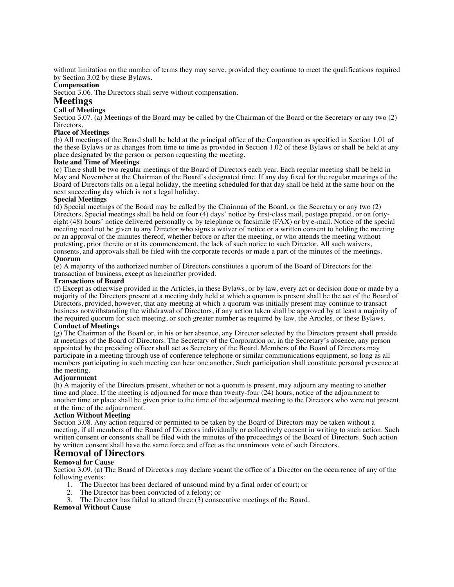without limitation on the number of terms they may serve, provided they continue to meet the qualifications required by Section 3.02 by these Bylaws.

### **Compensation**

Section 3.06. The Directors shall serve without compensation.

# **Meetings**

### **Call of Meetings**

Section 3.07. (a) Meetings of the Board may be called by the Chairman of the Board or the Secretary or any two (2) Directors.

#### **Place of Meetings**

(b) All meetings of the Board shall be held at the principal office of the Corporation as specified in Section 1.01 of the these Bylaws or as changes from time to time as provided in Section 1.02 of these Bylaws or shall be held at any place designated by the person or person requesting the meeting.

#### **Date and Time of Meetings**

(c) There shall be two regular meetings of the Board of Directors each year. Each regular meeting shall be held in May and November at the Chairman of the Board's designated time. If any day fixed for the regular meetings of the Board of Directors falls on a legal holiday, the meeting scheduled for that day shall be held at the same hour on the next succeeding day which is not a legal holiday.

#### **Special Meetings**

(d) Special meetings of the Board may be called by the Chairman of the Board, or the Secretary or any two (2) Directors. Special meetings shall be held on four (4) days' notice by first-class mail, postage prepaid, or on fortyeight (48) hours' notice delivered personally or by telephone or facsimile (FAX) or by e-mail. Notice of the special meeting need not be given to any Director who signs a waiver of notice or a written consent to holding the meeting or an approval of the minutes thereof, whether before or after the meeting, or who attends the meeting without protesting, prior thereto or at its commencement, the lack of such notice to such Director. All such waivers, consents, and approvals shall be filed with the corporate records or made a part of the minutes of the meetings. **Quorum**

(e) A majority of the authorized number of Directors constitutes a quorum of the Board of Directors for the transaction of business, except as hereinafter provided.

#### **Transactions of Board**

(f) Except as otherwise provided in the Articles, in these Bylaws, or by law, every act or decision done or made by a majority of the Directors present at a meeting duly held at which a quorum is present shall be the act of the Board of Directors, provided, however, that any meeting at which a quorum was initially present may continue to transact business notwithstanding the withdrawal of Directors, if any action taken shall be approved by at least a majority of the required quorum for such meeting, or such greater number as required by law, the Articles, or these Bylaws.

#### **Conduct of Meetings**

(g) The Chairman of the Board or, in his or her absence, any Director selected by the Directors present shall preside at meetings of the Board of Directors. The Secretary of the Corporation or, in the Secretary's absence, any person appointed by the presiding officer shall act as Secretary of the Board. Members of the Board of Directors may participate in a meeting through use of conference telephone or similar communications equipment, so long as all members participating in such meeting can hear one another. Such participation shall constitute personal presence at the meeting.

#### **Adjournment**

(h) A majority of the Directors present, whether or not a quorum is present, may adjourn any meeting to another time and place. If the meeting is adjourned for more than twenty-four (24) hours, notice of the adjournment to another time or place shall be given prior to the time of the adjourned meeting to the Directors who were not present at the time of the adjournment.

#### **Action Without Meeting**

Section 3.08. Any action required or permitted to be taken by the Board of Directors may be taken without a meeting, if all members of the Board of Directors individually or collectively consent in writing to such action. Such written consent or consents shall be filed with the minutes of the proceedings of the Board of Directors. Such action by written consent shall have the same force and effect as the unanimous vote of such Directors.

# **Removal of Directors**

#### **Removal for Cause**

Section 3.09. (a) The Board of Directors may declare vacant the office of a Director on the occurrence of any of the following events:

- 1. The Director has been declared of unsound mind by a final order of court; or
- 2. The Director has been convicted of a felony; or
- 3. The Director has failed to attend three (3) consecutive meetings of the Board.

#### **Removal Without Cause**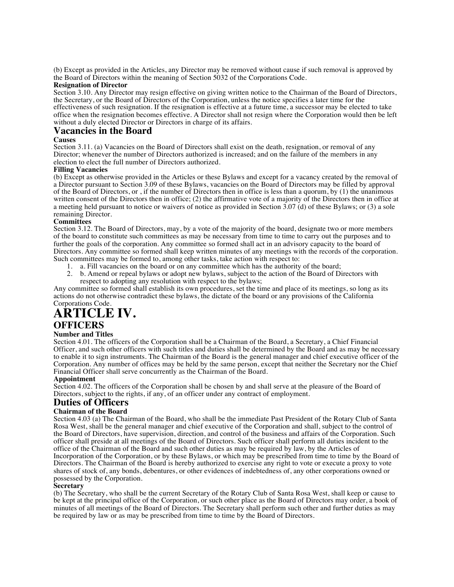(b) Except as provided in the Articles, any Director may be removed without cause if such removal is approved by the Board of Directors within the meaning of Section 5032 of the Corporations Code.

# **Resignation of Director**

Section 3.10. Any Director may resign effective on giving written notice to the Chairman of the Board of Directors, the Secretary, or the Board of Directors of the Corporation, unless the notice specifies a later time for the effectiveness of such resignation. If the resignation is effective at a future time, a successor may be elected to take office when the resignation becomes effective. A Director shall not resign where the Corporation would then be left without a duly elected Director or Directors in charge of its affairs.

# **Vacancies in the Board**

#### **Causes**

Section 3.11. (a) Vacancies on the Board of Directors shall exist on the death, resignation, or removal of any Director; whenever the number of Directors authorized is increased; and on the failure of the members in any election to elect the full number of Directors authorized.

#### **Filling Vacancies**

(b) Except as otherwise provided in the Articles or these Bylaws and except for a vacancy created by the removal of a Director pursuant to Section 3.09 of these Bylaws, vacancies on the Board of Directors may be filled by approval of the Board of Directors, or , if the number of Directors then in office is less than a quorum, by (1) the unanimous written consent of the Directors then in office; (2) the affirmative vote of a majority of the Directors then in office at a meeting held pursuant to notice or waivers of notice as provided in Section 3.07 (d) of these Bylaws; or (3) a sole remaining Director.

#### **Committees**

Section 3.12. The Board of Directors, may, by a vote of the majority of the board, designate two or more members of the board to constitute such committees as may be necessary from time to time to carry out the purposes and to further the goals of the corporation. Any committee so formed shall act in an advisory capacity to the board of Directors. Any committee so formed shall keep written minutes of any meetings with the records of the corporation. Such committees may be formed to, among other tasks, take action with respect to:

- 1. a. Fill vacancies on the board or on any committee which has the authority of the board;<br>2. b. Amend or repeal bylaws or adopt new bylaws, subject to the action of the Board of Di
- 2. b. Amend or repeal bylaws or adopt new bylaws, subject to the action of the Board of Directors with respect to adopting any resolution with respect to the bylaws;

Any committee so formed shall establish its own procedures, set the time and place of its meetings, so long as its actions do not otherwise contradict these bylaws, the dictate of the board or any provisions of the California Corporations Code.

# **ARTICLE IV. OFFICERS**

# **Number and Titles**

Section 4.01. The officers of the Corporation shall be a Chairman of the Board, a Secretary, a Chief Financial Officer, and such other officers with such titles and duties shall be determined by the Board and as may be necessary to enable it to sign instruments. The Chairman of the Board is the general manager and chief executive officer of the Corporation. Any number of offices may be held by the same person, except that neither the Secretary nor the Chief Financial Officer shall serve concurrently as the Chairman of the Board.

#### **Appointment**

Section 4.02. The officers of the Corporation shall be chosen by and shall serve at the pleasure of the Board of Directors, subject to the rights, if any, of an officer under any contract of employment.

# **Duties of Officers**

### **Chairman of the Board**

Section 4.03 (a) The Chairman of the Board, who shall be the immediate Past President of the Rotary Club of Santa Rosa West, shall be the general manager and chief executive of the Corporation and shall, subject to the control of the Board of Directors, have supervision, direction, and control of the business and affairs of the Corporation. Such officer shall preside at all meetings of the Board of Directors. Such officer shall perform all duties incident to the office of the Chairman of the Board and such other duties as may be required by law, by the Articles of Incorporation of the Corporation, or by these Bylaws, or which may be prescribed from time to time by the Board of Directors. The Chairman of the Board is hereby authorized to exercise any right to vote or execute a proxy to vote shares of stock of, any bonds, debentures, or other evidences of indebtedness of, any other corporations owned or possessed by the Corporation.

#### **Secretary**

(b) The Secretary, who shall be the current Secretary of the Rotary Club of Santa Rosa West, shall keep or cause to be kept at the principal office of the Corporation, or such other place as the Board of Directors may order, a book of minutes of all meetings of the Board of Directors. The Secretary shall perform such other and further duties as may be required by law or as may be prescribed from time to time by the Board of Directors.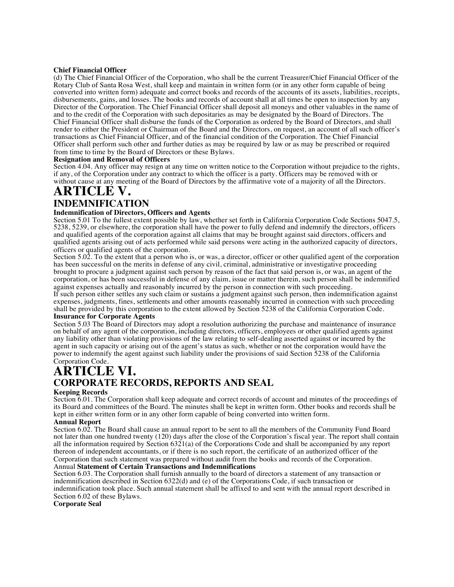#### **Chief Financial Officer**

(d) The Chief Financial Officer of the Corporation, who shall be the current Treasurer/Chief Financial Officer of the Rotary Club of Santa Rosa West, shall keep and maintain in written form (or in any other form capable of being converted into written form) adequate and correct books and records of the accounts of its assets, liabilities, receipts, disbursements, gains, and losses. The books and records of account shall at all times be open to inspection by any Director of the Corporation. The Chief Financial Officer shall deposit all moneys and other valuables in the name of and to the credit of the Corporation with such depositaries as may be designated by the Board of Directors. The Chief Financial Officer shall disburse the funds of the Corporation as ordered by the Board of Directors, and shall render to either the President or Chairman of the Board and the Directors, on request, an account of all such officer's transactions as Chief Financial Officer, and of the financial condition of the Corporation. The Chief Financial Officer shall perform such other and further duties as may be required by law or as may be prescribed or required from time to time by the Board of Directors or these Bylaws.

#### **Resignation and Removal of Officers**

Section 4.04. Any officer may resign at any time on written notice to the Corporation without prejudice to the rights, if any, of the Corporation under any contract to which the officer is a party. Officers may be removed with or without cause at any meeting of the Board of Directors by the affirmative vote of a majority of all the Directors.

# **ARTICLE V. INDEMNIFICATION**

# **Indemnification of Directors, Officers and Agents**

Section 5.01 To the fullest extent possible by law, whether set forth in California Corporation Code Sections 5047.5, 5238, 5239, or elsewhere, the corporation shall have the power to fully defend and indemnify the directors, officers and qualified agents of the corporation against all claims that may be brought against said directors, officers and qualified agents arising out of acts performed while said persons were acting in the authorized capacity of directors, officers or qualified agents of the corporation.

Section 5.02. To the extent that a person who is, or was, a director, officer or other qualified agent of the corporation has been successful on the merits in defense of any civil, criminal, administrative or investigative proceeding brought to procure a judgment against such person by reason of the fact that said person is, or was, an agent of the corporation, or has been successful in defense of any claim, issue or matter therein, such person shall be indemnified against expenses actually and reasonably incurred by the person in connection with such proceeding.

If such person either settles any such claim or sustains a judgment against such person, then indemnification against expenses, judgments, fines, settlements and other amounts reasonably incurred in connection with such proceeding shall be provided by this corporation to the extent allowed by Section 5238 of the California Corporation Code. **Insurance for Corporate Agents**

Section 5.03 The Board of Directors may adopt a resolution authorizing the purchase and maintenance of insurance on behalf of any agent of the corporation, including directors, officers, employees or other qualified agents against any liability other than violating provisions of the law relating to self-dealing asserted against or incurred by the agent in such capacity or arising out of the agent's status as such, whether or not the corporation would have the power to indemnify the agent against such liability under the provisions of said Section 5238 of the California

# Corporation Code. **ARTICLE VI. CORPORATE RECORDS, REPORTS AND SEAL**

#### **Keeping Records**

Section 6.01. The Corporation shall keep adequate and correct records of account and minutes of the proceedings of its Board and committees of the Board. The minutes shall be kept in written form. Other books and records shall be kept in either written form or in any other form capable of being converted into written form.

#### **Annual Report**

Section 6.02. The Board shall cause an annual report to be sent to all the members of the Community Fund Board not later than one hundred twenty (120) days after the close of the Corporation's fiscal year. The report shall contain all the information required by Section 6321(a) of the Corporations Code and shall be accompanied by any report thereon of independent accountants, or if there is no such report, the certificate of an authorized officer of the Corporation that such statement was prepared without audit from the books and records of the Corporation. Annual **Statement of Certain Transactions and Indemnifications**

Section 6.03. The Corporation shall furnish annually to the board of directors a statement of any transaction or indemnification described in Section 6322(d) and (e) of the Corporations Code, if such transaction or indemnification took place. Such annual statement shall be affixed to and sent with the annual report described in Section 6.02 of these Bylaws.

**Corporate Seal**